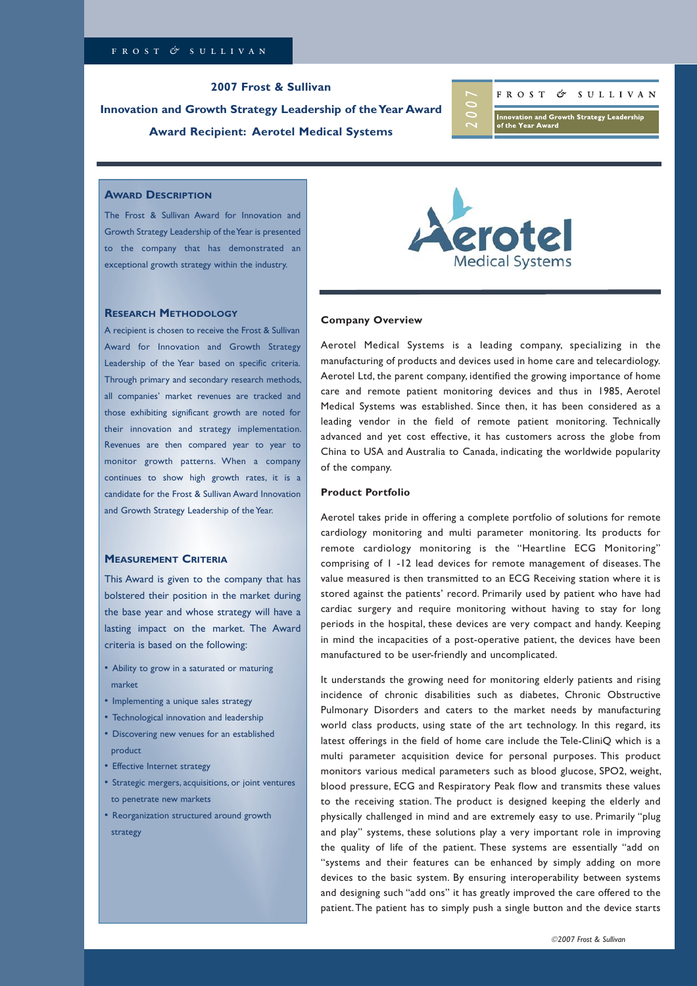**2007 Frost & Sullivan Innovation and Growth Strategy Leadership of the Year Award Award Recipient: Aerotel Medical Systems**



# **AWARD DESCRIPTION**

The Frost & Sullivan Award for Innovation and Growth Strategy Leadership of the Year is presented to the company that has demonstrated an exceptional growth strategy within the industry.

### **RESEARCH METHODOLOGY**

A recipient is chosen to receive the Frost & Sullivan Award for Innovation and Growth Strategy Leadership of the Year based on specific criteria. Through primary and secondary research methods, all companies' market revenues are tracked and those exhibiting significant growth are noted for their innovation and strategy implementation. Revenues are then compared year to year to monitor growth patterns. When a company continues to show high growth rates, it is a candidate for the Frost & Sullivan Award Innovation and Growth Strategy Leadership of the Year.

### **MEASUREMENT CRITERIA**

This Award is given to the company that has bolstered their position in the market during the base year and whose strategy will have a lasting impact on the market. The Award criteria is based on the following:

- Ability to grow in a saturated or maturing market
- Implementing a unique sales strategy
- Technological innovation and leadership
- Discovering new venues for an established
- product
- Effective Internet strategy
- Strategic mergers, acquisitions, or joint ventures to penetrate new markets
- Reorganization structured around growth strategy



#### **Company Overview**

Aerotel Medical Systems is a leading company, specializing in the manufacturing of products and devices used in home care and telecardiology. Aerotel Ltd, the parent company, identified the growing importance of home care and remote patient monitoring devices and thus in 1985, Aerotel Medical Systems was established. Since then, it has been considered as a leading vendor in the field of remote patient monitoring. Technically advanced and yet cost effective, it has customers across the globe from China to USA and Australia to Canada, indicating the worldwide popularity of the company.

### **Product Portfolio**

Aerotel takes pride in offering a complete portfolio of solutions for remote cardiology monitoring and multi parameter monitoring. Its products for remote cardiology monitoring is the "Heartline ECG Monitoring" comprising of 1 -12 lead devices for remote management of diseases. The value measured is then transmitted to an ECG Receiving station where it is stored against the patients' record. Primarily used by patient who have had cardiac surgery and require monitoring without having to stay for long periods in the hospital, these devices are very compact and handy. Keeping in mind the incapacities of a post-operative patient, the devices have been manufactured to be user-friendly and uncomplicated.

It understands the growing need for monitoring elderly patients and rising incidence of chronic disabilities such as diabetes, Chronic Obstructive Pulmonary Disorders and caters to the market needs by manufacturing world class products, using state of the art technology. In this regard, its latest offerings in the field of home care include the Tele-CliniQ which is a multi parameter acquisition device for personal purposes. This product monitors various medical parameters such as blood glucose, SPO2, weight, blood pressure, ECG and Respiratory Peak flow and transmits these values to the receiving station. The product is designed keeping the elderly and physically challenged in mind and are extremely easy to use. Primarily "plug and play" systems, these solutions play a very important role in improving the quality of life of the patient. These systems are essentially "add on "systems and their features can be enhanced by simply adding on more devices to the basic system. By ensuring interoperability between systems and designing such "add ons" it has greatly improved the care offered to the patient. The patient has to simply push a single button and the device starts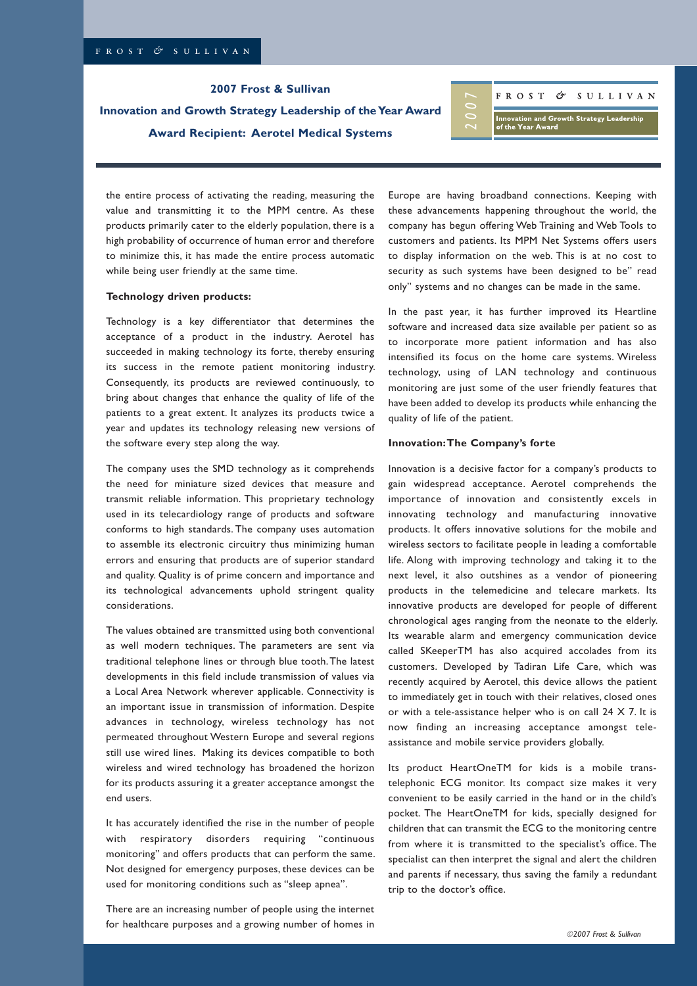**2007 Frost & Sullivan** 

**Innovation and Growth Strategy Leadership of the Year Award Award Recipient: Aerotel Medical Systems**

FROST & SULLIVAN

**Innovation and Growth Strategy Leadership<br>of the Year Award** 

the entire process of activating the reading, measuring the value and transmitting it to the MPM centre. As these products primarily cater to the elderly population, there is a high probability of occurrence of human error and therefore to minimize this, it has made the entire process automatic while being user friendly at the same time.

#### **Technology driven products:**

Technology is a key differentiator that determines the acceptance of a product in the industry. Aerotel has succeeded in making technology its forte, thereby ensuring its success in the remote patient monitoring industry. Consequently, its products are reviewed continuously, to bring about changes that enhance the quality of life of the patients to a great extent. It analyzes its products twice a year and updates its technology releasing new versions of the software every step along the way.

The company uses the SMD technology as it comprehends the need for miniature sized devices that measure and transmit reliable information. This proprietary technology used in its telecardiology range of products and software conforms to high standards. The company uses automation to assemble its electronic circuitry thus minimizing human errors and ensuring that products are of superior standard and quality. Quality is of prime concern and importance and its technological advancements uphold stringent quality considerations.

The values obtained are transmitted using both conventional as well modern techniques. The parameters are sent via traditional telephone lines or through blue tooth. The latest developments in this field include transmission of values via a Local Area Network wherever applicable. Connectivity is an important issue in transmission of information. Despite advances in technology, wireless technology has not permeated throughout Western Europe and several regions still use wired lines. Making its devices compatible to both wireless and wired technology has broadened the horizon for its products assuring it a greater acceptance amongst the end users.

It has accurately identified the rise in the number of people with respiratory disorders requiring "continuous monitoring" and offers products that can perform the same. Not designed for emergency purposes, these devices can be used for monitoring conditions such as "sleep apnea".

There are an increasing number of people using the internet for healthcare purposes and a growing number of homes in

Europe are having broadband connections. Keeping with these advancements happening throughout the world, the company has begun offering Web Training and Web Tools to customers and patients. Its MPM Net Systems offers users to display information on the web. This is at no cost to security as such systems have been designed to be" read only" systems and no changes can be made in the same.

In the past year, it has further improved its Heartline software and increased data size available per patient so as to incorporate more patient information and has also intensified its focus on the home care systems. Wireless technology, using of LAN technology and continuous monitoring are just some of the user friendly features that have been added to develop its products while enhancing the quality of life of the patient.

### **Innovation: The Company's forte**

Innovation is a decisive factor for a company's products to gain widespread acceptance. Aerotel comprehends the importance of innovation and consistently excels in innovating technology and manufacturing innovative products. It offers innovative solutions for the mobile and wireless sectors to facilitate people in leading a comfortable life. Along with improving technology and taking it to the next level, it also outshines as a vendor of pioneering products in the telemedicine and telecare markets. Its innovative products are developed for people of different chronological ages ranging from the neonate to the elderly. Its wearable alarm and emergency communication device called SKeeperTM has also acquired accolades from its customers. Developed by Tadiran Life Care, which was recently acquired by Aerotel, this device allows the patient to immediately get in touch with their relatives, closed ones or with a tele-assistance helper who is on call 24 X 7. It is now finding an increasing acceptance amongst teleassistance and mobile service providers globally.

Its product HeartOneTM for kids is a mobile transtelephonic ECG monitor. Its compact size makes it very convenient to be easily carried in the hand or in the child's pocket. The HeartOneTM for kids, specially designed for children that can transmit the ECG to the monitoring centre from where it is transmitted to the specialist's office. The specialist can then interpret the signal and alert the children and parents if necessary, thus saving the family a redundant trip to the doctor's office.